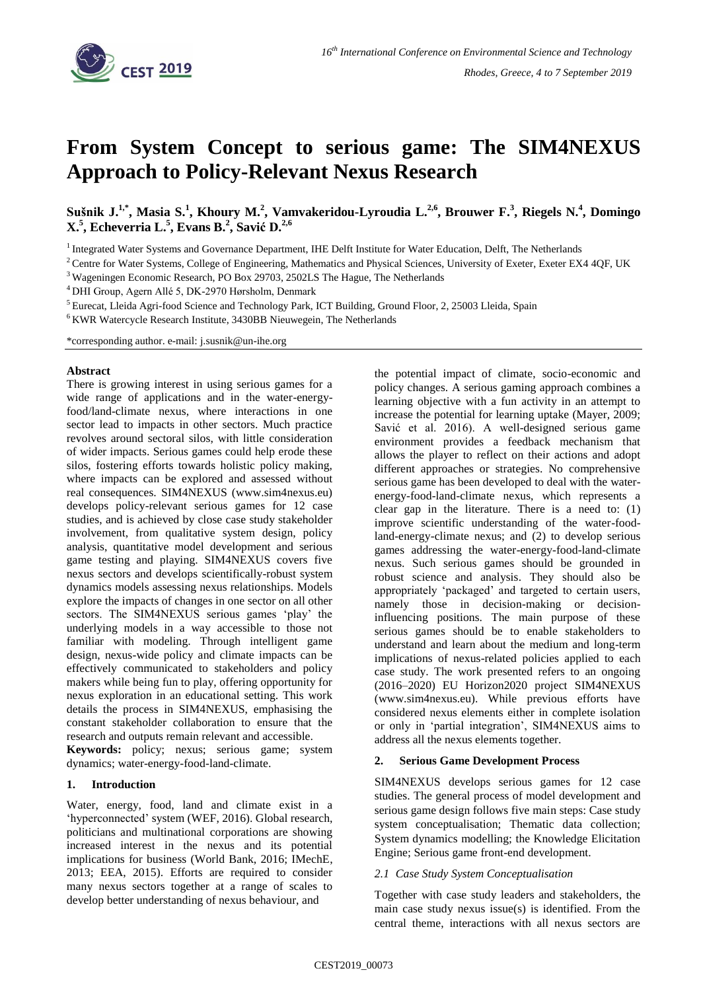

# **From System Concept to serious game: The SIM4NEXUS Approach to Policy-Relevant Nexus Research**

**Sušnik J. 1,\* , Masia S. 1 , Khoury M. 2 , Vamvakeridou-Lyroudia L. 2,6, Brouwer F.<sup>3</sup> , Riegels N.<sup>4</sup> , Domingo X.<sup>5</sup> , Echeverria L.<sup>5</sup> , Evans B.<sup>2</sup> , Savić D. 2,6**

<sup>1</sup> Integrated Water Systems and Governance Department, IHE Delft Institute for Water Education, Delft, The Netherlands

<sup>3</sup> Wageningen Economic Research, PO Box 29703, 2502LS The Hague, The Netherlands

<sup>4</sup> DHI Group, Agern Allé 5, DK-2970 Hørsholm, Denmark

<sup>5</sup> Eurecat, Lleida Agri-food Science and Technology Park, ICT Building, Ground Floor, 2, 25003 Lleida, Spain

<sup>6</sup>KWR Watercycle Research Institute, 3430BB Nieuwegein, The Netherlands

\*corresponding author. e-mail: j.susnik@un-ihe.org

#### **Abstract**

There is growing interest in using serious games for a wide range of applications and in the water-energyfood/land-climate nexus, where interactions in one sector lead to impacts in other sectors. Much practice revolves around sectoral silos, with little consideration of wider impacts. Serious games could help erode these silos, fostering efforts towards holistic policy making, where impacts can be explored and assessed without real consequences. SIM4NEXUS (www.sim4nexus.eu) develops policy-relevant serious games for 12 case studies, and is achieved by close case study stakeholder involvement, from qualitative system design, policy analysis, quantitative model development and serious game testing and playing. SIM4NEXUS covers five nexus sectors and develops scientifically-robust system dynamics models assessing nexus relationships. Models explore the impacts of changes in one sector on all other sectors. The SIM4NEXUS serious games 'play' the underlying models in a way accessible to those not familiar with modeling. Through intelligent game design, nexus-wide policy and climate impacts can be effectively communicated to stakeholders and policy makers while being fun to play, offering opportunity for nexus exploration in an educational setting. This work details the process in SIM4NEXUS, emphasising the constant stakeholder collaboration to ensure that the research and outputs remain relevant and accessible.

**Keywords:** policy; nexus; serious game; system dynamics; water-energy-food-land-climate.

#### **1. Introduction**

Water, energy, food, land and climate exist in a 'hyperconnected' system (WEF, 2016). Global research, politicians and multinational corporations are showing increased interest in the nexus and its potential implications for business (World Bank, 2016; IMechE, 2013; EEA, 2015). Efforts are required to consider many nexus sectors together at a range of scales to develop better understanding of nexus behaviour, and

the potential impact of climate, socio-economic and policy changes. A serious gaming approach combines a learning objective with a fun activity in an attempt to increase the potential for learning uptake (Mayer, 2009; Savić et al. 2016). A well-designed serious game environment provides a feedback mechanism that allows the player to reflect on their actions and adopt different approaches or strategies. No comprehensive serious game has been developed to deal with the waterenergy-food-land-climate nexus, which represents a clear gap in the literature. There is a need to: (1) improve scientific understanding of the water-foodland-energy-climate nexus; and (2) to develop serious games addressing the water-energy-food-land-climate nexus. Such serious games should be grounded in robust science and analysis. They should also be appropriately 'packaged' and targeted to certain users, namely those in decision-making or decisioninfluencing positions. The main purpose of these serious games should be to enable stakeholders to understand and learn about the medium and long-term implications of nexus-related policies applied to each case study. The work presented refers to an ongoing (2016–2020) EU Horizon2020 project SIM4NEXUS (www.sim4nexus.eu). While previous efforts have considered nexus elements either in complete isolation or only in 'partial integration', SIM4NEXUS aims to address all the nexus elements together.

#### **2. Serious Game Development Process**

SIM4NEXUS develops serious games for 12 case studies. The general process of model development and serious game design follows five main steps: Case study system conceptualisation; Thematic data collection; System dynamics modelling; the Knowledge Elicitation Engine; Serious game front-end development.

#### *2.1 Case Study System Conceptualisation*

Together with case study leaders and stakeholders, the main case study nexus issue(s) is identified. From the central theme, interactions with all nexus sectors are

<sup>&</sup>lt;sup>2</sup> Centre for Water Systems, College of Engineering, Mathematics and Physical Sciences, University of Exeter, Exeter EX4 4QF, UK